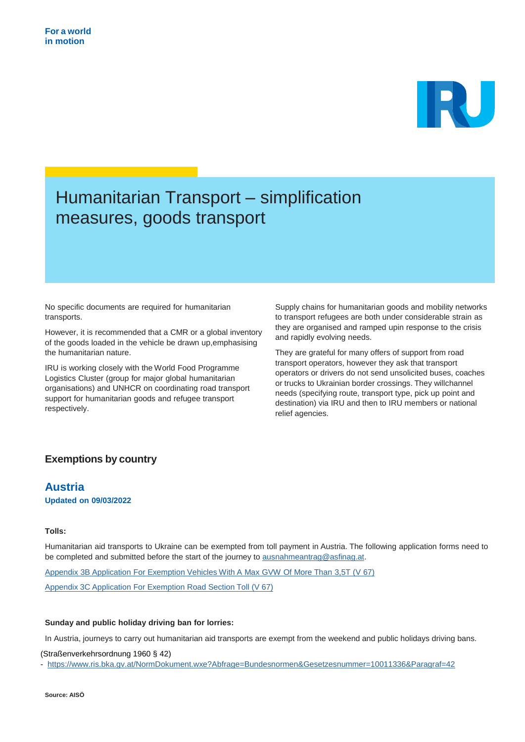

# Humanitarian Transport – simplification measures, goods transport

No specific documents are required for humanitarian transports.

However, it is recommended that a CMR or a global inventory of the goods loaded in the vehicle be drawn up,emphasising the humanitarian nature.

IRU is working closely with the World Food Programme Logistics Cluster (group for major global humanitarian organisations) and UNHCR on coordinating road transport support for humanitarian goods and refugee transport respectively.

Supply chains for humanitarian goods and mobility networks to transport refugees are both under considerable strain as they are organised and ramped upin response to the crisis and rapidly evolving needs.

They are grateful for many offers of support from road transport operators, however they ask that transport operators or drivers do not send unsolicited buses, coaches or trucks to Ukrainian border crossings. They willchannel needs (specifying route, transport type, pick up point and destination) via IRU and then to IRU members or national relief agencies.

## **Exemptions by country**

### **Austria Updated on 09/03/2022**

### **Tolls:**

Humanitarian aid transports to Ukraine can be exempted from toll payment in Austria. The following application forms need to be completed and submitted before the start of the journey to [ausnahmeantrag@asfinag.at.](mailto:ausnahmeantrag@asfinag.at)

Appendix 3B [Application](https://www.asfinag.at/media/lfubt2c3/04_mo_v67_appendix-3b-application-for-exemption-vehicles-with-a-max-gvw-of-more-than-3-5t_en.pdf) For Exemption Vehicles With A Max GVW Of More Than 3,5T (V 67) Appendix 3C Application [For Exemption](https://www.asfinag.at/media/qhxhmewn/05_mo_v67_appendix-3c-application-for-exemption-road-section-toll_en.pdf) Road Section Toll (V 67)

### **Sunday and public holiday driving ban for lorries:**

In Austria, journeys to carry out humanitarian aid transports are exempt from the weekend and public holidays driving bans.

(Straßenverkehrsordnung 1960 § 42)

- <https://www.ris.bka.gv.at/NormDokument.wxe?Abfrage=Bundesnormen&Gesetzesnummer=10011336&Paragraf=42>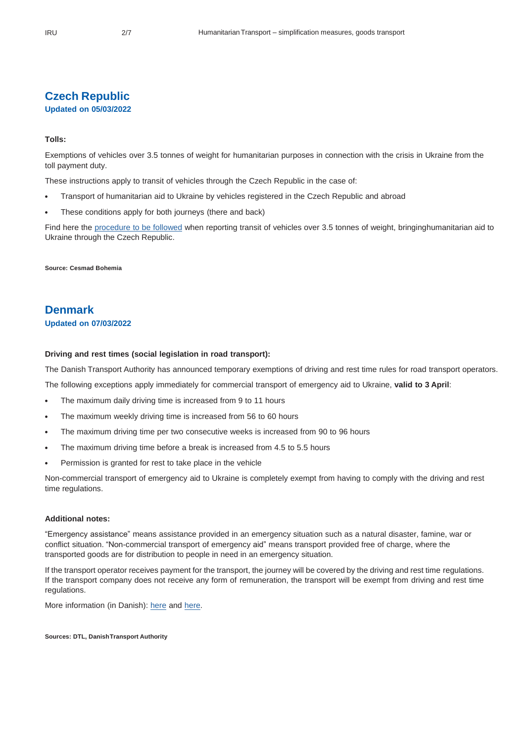### **Czech Republic**

### **Updated on 05/03/2022**

### **Tolls:**

Exemptions of vehicles over 3.5 tonnes of weight for humanitarian purposes in connection with the crisis in Ukraine from the toll payment duty.

These instructions apply to transit of vehicles through the Czech Republic in the case of:

- Transport of humanitarian aid to Ukraine by vehicles registered in the Czech Republic and abroad
- These conditions apply for both journeys (there and back)

Find here the [procedure](https://mytocz.eu/en/Hum_UA) to be followed when reporting transit of vehicles over 3.5 tonnes of weight, bringinghumanitarian aid to Ukraine through the Czech Republic.

**Source: Cesmad Bohemia**

### **Denmark**

### **Updated on 07/03/2022**

#### **Driving and rest times (social legislation in road transport):**

The Danish Transport Authority has announced temporary exemptions of driving and rest time rules for road transport operators.

The following exceptions apply immediately for commercial transport of emergency aid to Ukraine, **valid to 3 April**:

- The maximum daily driving time is increased from 9 to 11 hours
- The maximum weekly driving time is increased from 56 to 60 hours
- The maximum driving time per two consecutive weeks is increased from 90 to 96 hours
- The maximum driving time before a break is increased from 4.5 to 5.5 hours
- Permission is granted for rest to take place in the vehicle

Non-commercial transport of emergency aid to Ukraine is completely exempt from having to comply with the driving and rest time regulations.

### **Additional notes:**

"Emergency assistance" means assistance provided in an emergency situation such as a natural disaster, famine, war or conflict situation. "Non-commercial transport of emergency aid" means transport provided free of charge, where the transported goods are for distribution to people in need in an emergency situation.

If the transport operator receives payment for the transport, the journey will be covered by the driving and rest time regulations. If the transport company does not receive any form of remuneration, the transport will be exempt from driving and rest time regulations.

More information (in Danish): [here](https://dtl.eu/nyheder-og-presse/nyhedsbrev/korsel-til-og-fra-ukraine-kore-og-hviletidsregler-lempes-frem-til-3-april/) and [here.](https://www.fstyr.dk/da/Lister/Nyheder/Nyheder/2022/03/Midlertidig-undtagelse-p%C3%A5-koere--og-hviletidsomraadet-i-forbindelse-med-krisesituationen-i-Ukraine)

**Sources: DTL, DanishTransport Authority**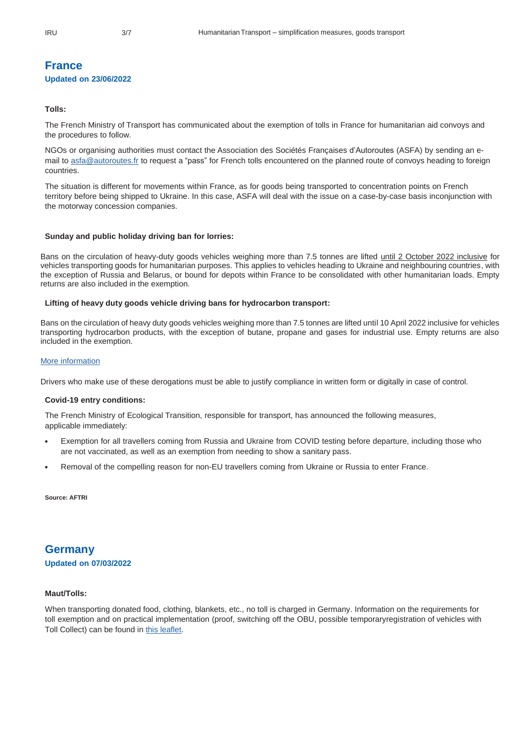### **France Updated on 23/06/2022**

### **Tolls:**

The French Ministry of Transport has communicated about the exemption of tolls in France for humanitarian aid convoys and the procedures to follow.

NGOs or organising authorities must contact the Association des Sociétés Françaises d'Autoroutes (ASFA) by sending an email to [asfa@autoroutes.fr](mailto:asfa@autoroutes.fr) to request a "pass" for French tolls encountered on the planned route of convoys heading to foreign countries.

The situation is different for movements within France, as for goods being transported to concentration points on French territory before being shipped to Ukraine. In this case, ASFA will deal with the issue on a case-by-case basis inconjunction with the motorway concession companies.

### **Sunday and public holiday driving ban for lorries:**

Bans on the circulation of heavy-duty goods vehicles weighing more than 7.5 tonnes are lifted until 2 October 2022 inclusive for vehicles transporting goods for humanitarian purposes. This applies to vehicles heading to Ukraine and neighbouring countries, with the exception of Russia and Belarus, or bound for depots within France to be consolidated with other humanitarian loads. Empty returns are also included in the exemption.

### **Lifting of heavy duty goods vehicle driving bans for hydrocarbon transport:**

Bans on the circulation of heavy duty goods vehicles weighing more than 7.5 tonnes are lifted until 10 April 2022 inclusive for vehicles transporting hydrocarbon products, with the exception of butane, propane and gases for industrial use. Empty returns are also included in the exemption.

### [More information](https://www.legifrance.gouv.fr/jorf/id/JORFTEXT000045379671)

Drivers who make use of these derogations must be able to justify compliance in written form or digitally in case of control.

#### **Covid-19 entry conditions:**

The French Ministry of Ecological Transition, responsible for transport, has announced the following measures, applicable immediately:

- Exemption for all travellers coming from Russia and Ukraine from COVID testing before departure, including those who are not vaccinated, as well as an exemption from needing to show a sanitary pass.
- Removal of the compelling reason for non-EU travellers coming from Ukraine or Russia to enter France.

**Source: AFTRI**

### **Germany Updated on 07/03/2022**

### **Maut/Tolls:**

When transporting donated food, clothing, blankets, etc., no toll is charged in Germany. Information on the requirements for toll exemption and on practical implementation (proof, switching off the OBU, possible temporaryregistration of vehicles with Toll Collect) can be found in [this leaflet.](https://www.bag.bund.de/SharedDocs/Downloads/DE/Chefredaktion/2022/Merklblatt_Mautbefreiung_ukraine_konflikt.pdf?__blob=publicationFilev%3D1)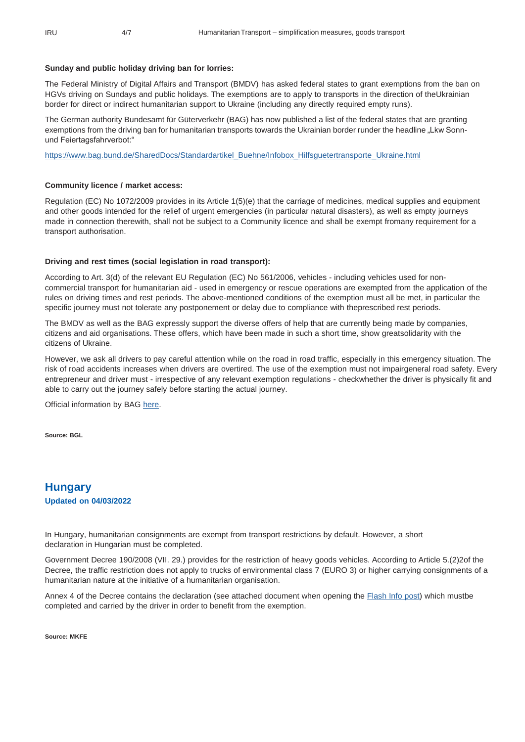### **Sunday and public holiday driving ban for lorries:**

The Federal Ministry of Digital Affairs and Transport (BMDV) has asked federal states to grant exemptions from the ban on HGVs driving on Sundays and public holidays. The exemptions are to apply to transports in the direction of theUkrainian border for direct or indirect humanitarian support to Ukraine (including any directly required empty runs).

The German authority Bundesamt für Güterverkehr (BAG) has now published a list of the federal states that are granting exemptions from the driving ban for humanitarian transports towards the Ukrainian border runder the headline "Lkw Sonnund Feiertagsfahrverbot:"

[https://www.bag.bund.de/SharedDocs/Standardartikel\\_Buehne/Infobox\\_Hilfsguetertransporte\\_Ukraine.html](https://www.bag.bund.de/SharedDocs/Standardartikel_Buehne/Infobox_Hilfsguetertransporte_Ukraine.html)

### **Community licence / market access:**

Regulation (EC) No 1072/2009 provides in its Article 1(5)(e) that the carriage of medicines, medical supplies and equipment and other goods intended for the relief of urgent emergencies (in particular natural disasters), as well as empty journeys made in connection therewith, shall not be subject to a Community licence and shall be exempt fromany requirement for a transport authorisation.

#### **Driving and rest times (social legislation in road transport):**

According to Art. 3(d) of the relevant EU Regulation (EC) No 561/2006, vehicles - including vehicles used for noncommercial transport for humanitarian aid - used in emergency or rescue operations are exempted from the application of the rules on driving times and rest periods. The above-mentioned conditions of the exemption must all be met, in particular the specific journey must not tolerate any postponement or delay due to compliance with theprescribed rest periods.

The BMDV as well as the BAG expressly support the diverse offers of help that are currently being made by companies, citizens and aid organisations. These offers, which have been made in such a short time, show greatsolidarity with the citizens of Ukraine.

However, we ask all drivers to pay careful attention while on the road in road traffic, especially in this emergency situation. The risk of road accidents increases when drivers are overtired. The use of the exemption must not impairgeneral road safety. Every entrepreneur and driver must - irrespective of any relevant exemption regulations - checkwhether the driver is physically fit and able to carry out the journey safely before starting the actual journey.

Official information by BAG [here.](https://www.bag.bund.de/SharedDocs/Standardartikel_Buehne/Infobox_Hilfsguetertransporte_Ukraine.html)

**Source: BGL**

**Hungary Updated on 04/03/2022**

In Hungary, humanitarian consignments are exempt from transport restrictions by default. However, a short declaration in Hungarian must be completed.

Government Decree 190/2008 (VII. 29.) provides for the restriction of heavy goods vehicles. According to Article 5.(2)2of the Decree, the traffic restriction does not apply to trucks of environmental class 7 (EURO 3) or higher carrying consignments of a humanitarian nature at the initiative of a humanitarian organisation.

Annex 4 of the Decree contains the declaration (see attached document when opening the [Flash](https://www.iru.org/intelligence/flash-info/hungary-exemption-transport-restrictions-humanitarian-consignments) Info post) which mustbe completed and carried by the driver in order to benefit from the exemption.

**Source: MKFE**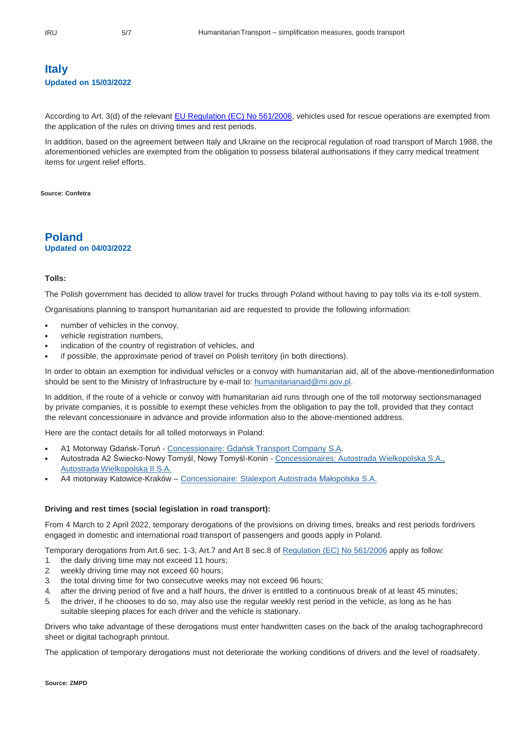### **Italy Updated on 15/03/2022**

According to Art. 3(d) of the relevant [EU Regulation \(EC\) No 561/2006,](https://eur-lex.europa.eu/legal-content/EN/ALL/?uri=CELEX%3A32006R0561) vehicles used for rescue operations are exempted from the application of the rules on driving times and rest periods.

In addition, based on the agreement between Italy and Ukraine on the reciprocal regulation of road transport of March 1988, the aforementioned vehicles are exempted from the obligation to possess bilateral authorisations if they carry medical treatment items for urgent relief efforts.

**Source: Confetra**

### **Poland Updated on 04/03/2022**

#### **Tolls:**

The Polish government has decided to allow travel for trucks through Poland without having to pay tolls via its e-toll system.

Organisations planning to transport humanitarian aid are requested to provide the following information:

- number of vehicles in the convoy,
- vehicle registration numbers,
- indication of the country of registration of vehicles, and
- if possible, the approximate period of travel on Polish territory (in both directions).

In order to obtain an exemption for individual vehicles or a convoy with humanitarian aid, all of the above-mentionedinformation should be sent to the Ministry of Infrastructure by e-mail to: [humanitarianaid@mi.gov.pl.](mailto:humanitarianaid@mi.gov.pl)

In addition, if the route of a vehicle or convoy with humanitarian aid runs through one of the toll motorway sectionsmanaged by private companies, it is possible to exempt these vehicles from the obligation to pay the toll, provided that they contact the relevant concessionaire in advance and provide information also to the above-mentioned address.

Here are the contact details for all tolled motorways in Poland:

- A1 Motorway Gdańsk-Toruń [Concessionaire:](https://a1.com.pl/kontakt/) Gdańsk Transport Company S.A.
- Autostrada A2 Świecko-Nowy Tomyśl, Nowy Tomyśl-Konin [Concessionaires: Autostrada Wielkopolska S.A.,](https://www.autostrada-a2.pl/contact) Autostrada [Wielkopolska II S.A.](https://www.autostrada-a2.pl/contact)
- A4 motorway Katowice-Kraków [Concessionaire:](https://www.autostrada-a4.com.pl/pl/kontakt/dane-teleadresowe) Stalexport Autostrada Małopolska S.A.

### **Driving and rest times (social legislation in road transport):**

From 4 March to 2 April 2022, temporary derogations of the provisions on driving times, breaks and rest periods fordrivers engaged in domestic and international road transport of passengers and goods apply in Poland.

Temporary derogations from Art.6 sec. 1-3, Art.7 and Art 8 sec.8 of [Regulation](https://eur-lex.europa.eu/legal-content/EN/ALL/?uri=CELEX%3A32006R0561) (EC) No 561/2006 apply as follow:

- 1. the daily driving time may not exceed 11 hours;
- 2. weekly driving time may not exceed 60 hours;
- 3. the total driving time for two consecutive weeks may not exceed 96 hours;
- 4. after the driving period of five and a half hours, the driver is entitled to a continuous break of at least 45 minutes;
- 5. the driver, if he chooses to do so, may also use the regular weekly rest period in the vehicle, as long as he has suitable sleeping places for each driver and the vehicle is stationary.

Drivers who take advantage of these derogations must enter handwritten cases on the back of the analog tachographrecord sheet or digital tachograph printout.

The application of temporary derogations must not deteriorate the working conditions of drivers and the level of roadsafety.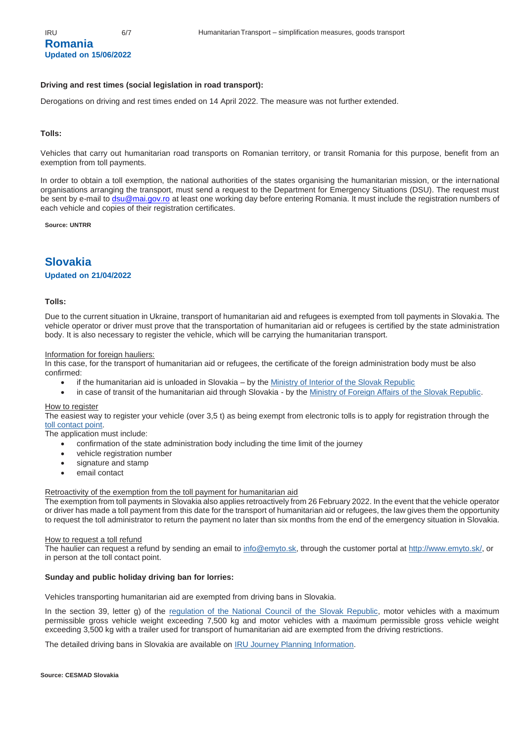### **Romania Updated on 15/06/2022**

### **Driving and rest times (social legislation in road transport):**

Derogations on driving and rest times ended on 14 April 2022. The measure was not further extended.

#### **Tolls:**

Vehicles that carry out humanitarian road transports on Romanian territory, or transit Romania for this purpose, benefit from an exemption from toll payments.

In order to obtain a toll exemption, the national authorities of the states organising the humanitarian mission, or the international organisations arranging the transport, must send a request to the Department for Emergency Situations (DSU). The request must be sent by e-mail to [dsu@mai.gov.ro](mailto:dsu@mai.gov.ro) at least one working day before entering Romania. It must include the registration numbers of each vehicle and copies of their registration certificates.

**Source: UNTRR**

### **Slovakia**

### **Updated on 21/04/2022**

### **Tolls:**

Due to the current situation in Ukraine, transport of humanitarian aid and refugees is exempted from toll payments in Slovakia. The vehicle operator or driver must prove that the transportation of humanitarian aid or refugees is certified by the state administration body. It is also necessary to register the vehicle, which will be carrying the humanitarian transport.

#### Information for foreign hauliers:

In this case, for the transport of humanitarian aid or refugees, the certificate of the foreign administration body must be also confirmed:

- if the humanitarian aid is unloaded in Slovakia by the [Ministry of Interior of the Slovak Republic](https://www.minv.sk/)
- in case of transit of the humanitarian aid through Slovakia by the [Ministry of Foreign Affairs of the Slovak Republic.](https://www.mzv.sk/)

#### **How to register**

The easiest way to register your vehicle (over 3,5 t) as being exempt from electronic tolls is to apply for registration through the [toll contact point.](https://www.emyto.sk/en/customer-points/list)

The application must include:

- confirmation of the state administration body including the time limit of the journey
- vehicle registration number
- signature and stamp
- email contact

#### Retroactivity of the exemption from the toll payment for humanitarian aid

The exemption from toll payments in Slovakia also applies retroactively from 26 February 2022. In the event that the vehicle operator or driver has made a toll payment from this date for the transport of humanitarian aid or refugees, the law gives them the opportunity to request the toll administrator to return the payment no later than six months from the end of the emergency situation in Slovakia.

### How to request a toll refund

The haulier can request a refund by sending an email to [info@emyto.sk,](mailto:info@emyto.sk) through the customer portal a[t http://www.emyto.sk/,](http://www.emyto.sk/) or in person at the toll contact point.

#### **Sunday and public holiday driving ban for lorries:**

Vehicles transporting humanitarian aid are exempted from driving bans in Slovakia.

In the section 39, letter g) of the regulation of the National [Council of the Slovak Republic,](https://www.slov-lex.sk/pravne-predpisy/SK/ZZ/2009/8/20220331) motor vehicles with a maximum permissible gross vehicle weight exceeding 7,500 kg and motor vehicles with a maximum permissible gross vehicle weight exceeding 3,500 kg with a trailer used for transport of humanitarian aid are exempted from the driving restrictions.

The detailed driving bans in Slovakia are available on **IRU Journey Planning Information**.